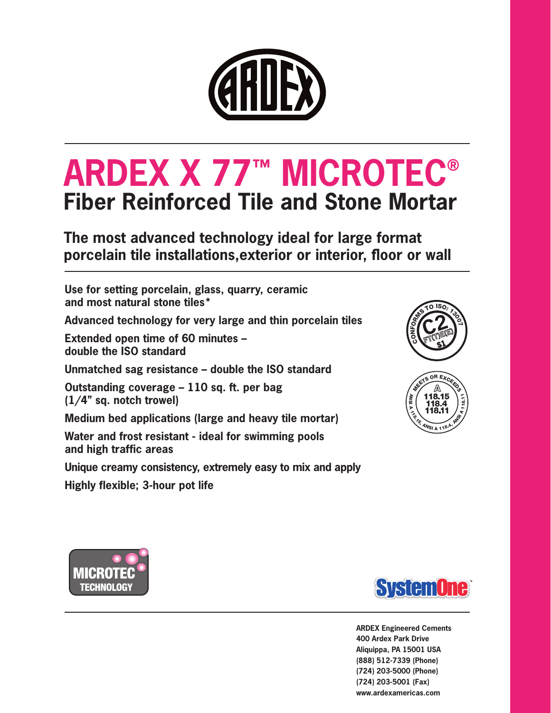

# **ARDEX X 77™ MICROTEC® Fiber Reinforced Tile and Stone Mortar**

**The most advanced technology ideal for large format porcelain tile installations,exterior or interior, floor or wall**

**Use for setting porcelain, glass, quarry, ceramic and most natural stone tiles\***

**Advanced technology for very large and thin porcelain tiles**

**Extended open time of 60 minutes – double the ISO standard**

**Unmatched sag resistance – double the ISO standard**

**Outstanding coverage – 110 sq. ft. per bag (1/4" sq. notch trowel)**

**Medium bed applications (large and heavy tile mortar)**

**Water and frost resistant - ideal for swimming pools and high traffic areas** 

**Unique creamy consistency, extremely easy to mix and apply**

**Highly flexible; 3-hour pot life**









**ARDEX Engineered Cements 400 Ardex Park Drive Aliquippa, PA 15001 USA (888) 512-7339 (Phone) (724) 203-5000 (Phone) (724) 203-5001 (Fax) www.ardexamericas.com**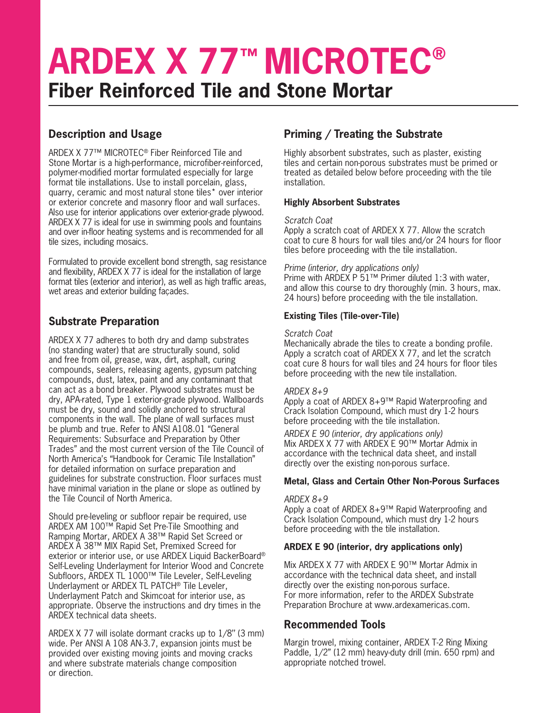# **ARDEX X 77™ MICROTEC® Fiber Reinforced Tile and Stone Mortar**

# **Description and Usage**

ARDEX X 77™ MICROTEC® Fiber Reinforced Tile and Stone Mortar is a high-performance, microfiber-reinforced, polymer-modified mortar formulated especially for large format tile installations. Use to install porcelain, glass, quarry, ceramic and most natural stone tiles\* over interior or exterior concrete and masonry floor and wall surfaces. Also use for interior applications over exterior-grade plywood. ARDEX X 77 is ideal for use in swimming pools and fountains and over in-floor heating systems and is recommended for all tile sizes, including mosaics.

Formulated to provide excellent bond strength, sag resistance and flexibility, ARDEX X 77 is ideal for the installation of large format tiles (exterior and interior), as well as high traffic areas, wet areas and exterior building façades.

## **Substrate Preparation**

ARDEX X 77 adheres to both dry and damp substrates (no standing water) that are structurally sound, solid and free from oil, grease, wax, dirt, asphalt, curing compounds, sealers, releasing agents, gypsum patching compounds, dust, latex, paint and any contaminant that can act as a bond breaker. Plywood substrates must be dry, APA-rated, Type 1 exterior-grade plywood. Wallboards must be dry, sound and solidly anchored to structural components in the wall. The plane of wall surfaces must be plumb and true. Refer to ANSI A108.01 "General Requirements: Subsurface and Preparation by Other Trades" and the most current version of the Tile Council of North America's "Handbook for Ceramic Tile Installation" for detailed information on surface preparation and guidelines for substrate construction. Floor surfaces must have minimal variation in the plane or slope as outlined by the Tile Council of North America.

Should pre-leveling or subfloor repair be required, use ARDEX AM 100™ Rapid Set Pre-Tile Smoothing and Ramping Mortar, ARDEX A 38™ Rapid Set Screed or ARDEX A 38™ MIX Rapid Set, Premixed Screed for exterior or interior use, or use ARDEX Liquid BackerBoard® Self-Leveling Underlayment for Interior Wood and Concrete Subfloors, ARDEX TL 1000™ Tile Leveler, Self-Leveling Underlayment or ARDEX TL PATCH® Tile Leveler, Underlayment Patch and Skimcoat for interior use, as appropriate. Observe the instructions and dry times in the ARDEX technical data sheets.

ARDEX X 77 will isolate dormant cracks up to 1/8'' (3 mm) wide. Per ANSI A 108 AN-3.7, expansion joints must be provided over existing moving joints and moving cracks and where substrate materials change composition or direction.

# **Priming / Treating the Substrate**

Highly absorbent substrates, such as plaster, existing tiles and certain non-porous substrates must be primed or treated as detailed below before proceeding with the tile installation.

#### **Highly Absorbent Substrates**

#### *Scratch Coat*

Apply a scratch coat of ARDEX X 77. Allow the scratch coat to cure 8 hours for wall tiles and/or 24 hours for floor tiles before proceeding with the tile installation.

#### *Prime (interior, dry applications only)*

Prime with ARDEX P 51™ Primer diluted 1:3 with water, and allow this course to dry thoroughly (min. 3 hours, max. 24 hours) before proceeding with the tile installation.

#### **Existing Tiles (Tile-over-Tile)**

#### *Scratch Coat*

Mechanically abrade the tiles to create a bonding profile. Apply a scratch coat of ARDEX X 77, and let the scratch coat cure 8 hours for wall tiles and 24 hours for floor tiles before proceeding with the new tile installation.

#### *ARDEX 8+9*

Apply a coat of ARDEX 8+9™ Rapid Waterproofing and Crack Isolation Compound, which must dry 1-2 hours before proceeding with the tile installation.

*ARDEX E 90 (interior, dry applications only)* Mix ARDEX X 77 with ARDEX E 90™ Mortar Admix in accordance with the technical data sheet, and install directly over the existing non-porous surface.

#### **Metal, Glass and Certain Other Non-Porous Surfaces**

#### *ARDEX 8+9*

Apply a coat of ARDEX 8+9™ Rapid Waterproofing and Crack Isolation Compound, which must dry 1-2 hours before proceeding with the tile installation.

#### **ARDEX E 90 (interior, dry applications only)**

Mix ARDEX X 77 with ARDEX E 90™ Mortar Admix in accordance with the technical data sheet, and install directly over the existing non-porous surface. For more information, refer to the ARDEX Substrate Preparation Brochure at www.ardexamericas.com.

## **Recommended Tools**

Margin trowel, mixing container, ARDEX T-2 Ring Mixing Paddle, 1/2" (12 mm) heavy-duty drill (min. 650 rpm) and appropriate notched trowel.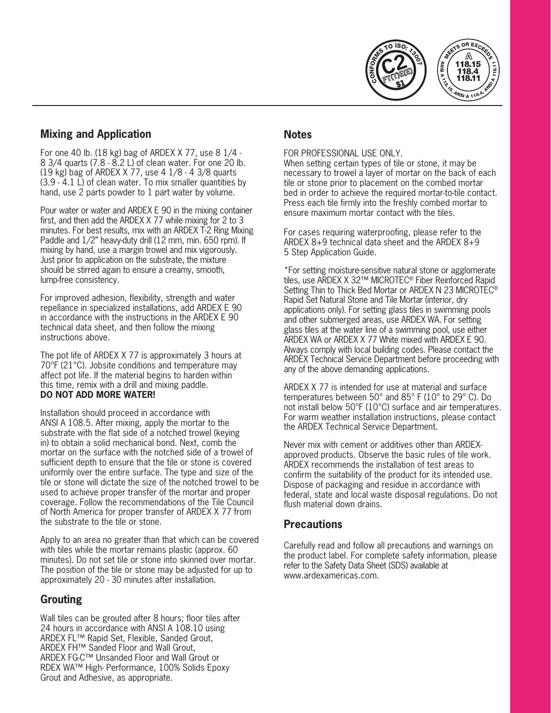



# **Mixing and Application**

For one 40 lb. (18 kg) bag of ARDEX X 77, use 8 1/4 - 8 3/4 quarts (7.8 - 8.2 L) of clean water. For one 20 lb. (19 kg) bag of ARDEX X 77, use 4 1/8 - 4 3/8 quarts (3.9 - 4.1 L) of clean water. To mix smaller quantities by hand, use 2 parts powder to 1 part water by volume.

Pour water or water and ARDEX E 90 in the mixing container first, and then add the ARDEX X 77 while mixing for 2 to 3 minutes. For best results, mix with an ARDEX T-2 Ring Mixing Paddle and 1/2" heavy-duty drill (12 mm, min. 650 rpm). If mixing by hand, use a margin trowel and mix vigorously. Just prior to application on the substrate, the mixture should be stirred again to ensure a creamy, smooth, lump-free consistency.

For improved adhesion, flexibility, strength and water repellance in specialized installations, add ARDEX E 90 in accordance with the instructions in the ARDEX E 90 technical data sheet, and then follow the mixing instructions above.

The pot life of ARDEX X 77 is approximately 3 hours at 70°F (21°C). Jobsite conditions and temperature may affect pot life. If the material begins to harden within this time, remix with a drill and mixing paddle. **DO NOT ADD MORE WATER!** 

Installation should proceed in accordance with ANSI A 108.5. After mixing, apply the mortar to the substrate with the flat side of a notched trowel (keying in) to obtain a solid mechanical bond. Next, comb the mortar on the surface with the notched side of a trowel of sufficient depth to ensure that the tile or stone is covered uniformly over the entire surface. The type and size of the tile or stone will dictate the size of the notched trowel to be used to achieve proper transfer of the mortar and proper coverage. Follow the recommendations of the Tile Council of North America for proper transfer of ARDEX X 77 from the substrate to the tile or stone.

Apply to an area no greater than that which can be covered with tiles while the mortar remains plastic (approx. 60 minutes). Do not set tile or stone into skinned over mortar. The position of the tile or stone may be adjusted for up to approximately 20 - 30 minutes after installation.

## **Grouting**

Wall tiles can be grouted after 8 hours; floor tiles after 24 hours in accordance with ANSI A 108.10 using ARDEX FL™ Rapid Set, Flexible, Sanded Grout, ARDEX FH™ Sanded Floor and Wall Grout, ARDEX FG-C™ Unsanded Floor and Wall Grout or RDEX WA™ High- Performance, 100% Solids Epoxy Grout and Adhesive, as appropriate.

## **Notes**

FOR PROFESSIONAL USE ONLY.

When setting certain types of tile or stone, it may be necessary to trowel a layer of mortar on the back of each tile or stone prior to placement on the combed mortar bed in order to achieve the required mortar-to-tile contact. Press each tile firmly into the freshly combed mortar to ensure maximum mortar contact with the tiles.

For cases requiring waterproofing, please refer to the ARDEX 8+9 technical data sheet and the ARDEX 8+9 5 Step Application Guide.

\*For setting moisture-sensitive natural stone or agglomerate tiles, use ARDEX X 32™ MICROTEC® Fiber Reinforced Rapid Setting Thin to Thick Bed Mortar or ARDEX N 23 MICROTEC® Rapid Set Natural Stone and Tile Mortar (interior, dry applications only). For setting glass tiles in swimming pools and other submerged areas, use ARDEX WA. For setting glass tiles at the water line of a swimming pool, use either ARDEX WA or ARDEX X 77 White mixed with ARDEX E 90. Always comply with local building codes. Please contact the ARDEX Technical Service Department before proceeding with any of the above demanding applications.

ARDEX X 77 is intended for use at material and surface temperatures between 50° and 85° F (10° to 29° C). Do not install below 50°F (10°C) surface and air temperatures. For warm weather installation instructions, please contact the ARDEX Technical Service Department.

Never mix with cement or additives other than ARDEXapproved products. Observe the basic rules of tile work. ARDEX recommends the installation of test areas to confirm the suitability of the product for its intended use. Dispose of packaging and residue in accordance with federal, state and local waste disposal regulations. Do not flush material down drains.

## **Precautions**

Carefully read and follow all precautions and warnings on the product label. For complete safety information, please refer to the Safety Data Sheet (SDS) available at www.ardexamericas.com.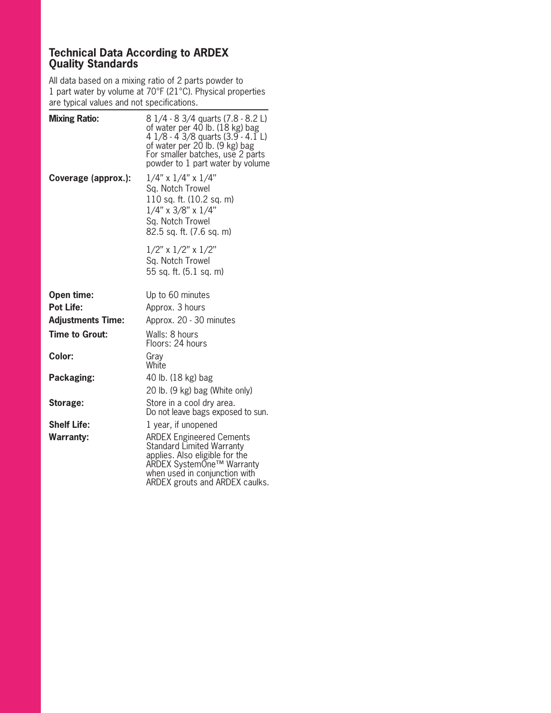## **Technical Data According to ARDEX Quality Standards**

All data based on a mixing ratio of 2 parts powder to 1 part water by volume at 70°F (21°C). Physical properties are typical values and not specifications.

| <b>Mixing Ratio:</b>     | 8 1/4 - 8 3/4 quarts (7.8 - 8.2 L)<br>of water per 40 lb. (18 kg) bag<br>4 $1/8$ - 4 3/8 quarts (3.9 - 4.1 L)<br>of water per 20 lb. (9 kg) bag<br>For smaller batches, use 2 parts<br>powder to 1 part water by volume |
|--------------------------|-------------------------------------------------------------------------------------------------------------------------------------------------------------------------------------------------------------------------|
| Coverage (approx.):      | $1/4$ " x $1/4$ " x $1/4$ "<br>Sq. Notch Trowel<br>110 sq. ft. (10.2 sq. m)<br>$1/4$ " x $3/8$ " x $1/4$ "<br>Sq. Notch Trowel<br>82.5 sq. ft. (7.6 sq. m)                                                              |
|                          | $1/2$ " x $1/2$ " x $1/2$ "<br>Sq. Notch Trowel<br>55 sq. ft. (5.1 sq. m)                                                                                                                                               |
| Open time:               | Up to 60 minutes                                                                                                                                                                                                        |
| <b>Pot Life:</b>         | Approx. 3 hours                                                                                                                                                                                                         |
| <b>Adjustments Time:</b> | Approx. 20 - 30 minutes                                                                                                                                                                                                 |
| <b>Time to Grout:</b>    | Walls: 8 hours<br>Floors: 24 hours                                                                                                                                                                                      |
| Color:                   | Gray<br>White                                                                                                                                                                                                           |
| Packaging:               | 40 lb. (18 kg) bag<br>20 lb. (9 kg) bag (White only)                                                                                                                                                                    |
| Storage:                 | Store in a cool dry area.<br>Do not leave bags exposed to sun.                                                                                                                                                          |
| <b>Shelf Life:</b>       | 1 year, if unopened                                                                                                                                                                                                     |
| <b>Warranty:</b>         | <b>ARDEX Engineered Cements</b><br>Standard Limited Warranty<br>applies. Also eligible for the<br>ARDEX SystemOne™ Warranty<br>when used in conjunction with<br>ARDEX grouts and ARDEX caulks.                          |